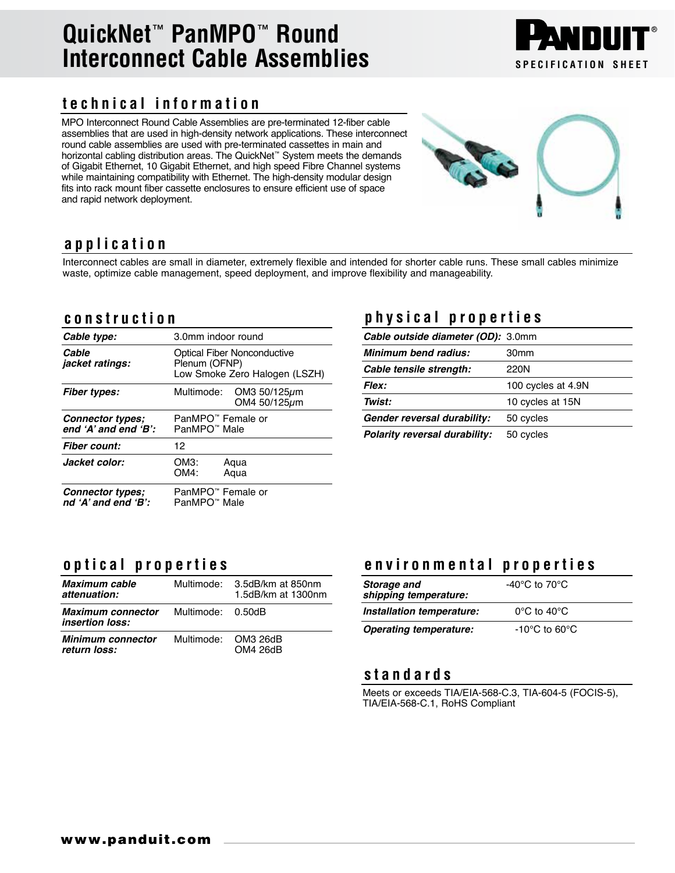## **QuickNet**™ **PanMPO**™ **Round Interconnect Cable Assemblies SPECIFICATION** SHEET

### **technical information**

MPO Interconnect Round Cable Assemblies are pre-terminated 12-fiber cable assemblies that are used in high-density network applications. These interconnect round cable assemblies are used with pre-terminated cassettes in main and horizontal cabling distribution areas. The QuickNet™ System meets the demands of Gigabit Ethernet, 10 Gigabit Ethernet, and high speed Fibre Channel systems while maintaining compatibility with Ethernet. The high-density modular design fits into rack mount fiber cassette enclosures to ensure efficient use of space and rapid network deployment.



#### **application**

Interconnect cables are small in diameter, extremely flexible and intended for shorter cable runs. These small cables minimize waste, optimize cable management, speed deployment, and improve flexibility and manageability.

#### **construction**

| Cable type:                                         | 3.0mm indoor round                                                                   |  |
|-----------------------------------------------------|--------------------------------------------------------------------------------------|--|
| Cable<br><i>jacket ratings:</i>                     | <b>Optical Fiber Nonconductive</b><br>Plenum (OFNP)<br>Low Smoke Zero Halogen (LSZH) |  |
| <b>Fiber types:</b>                                 | Multimode: OM3 50/125µm<br>OM4 50/125um                                              |  |
| Connector types;<br>end $'A'$ and end $'B'$ :       | PanMPO™ Female or<br>PanMPO <sup>™</sup> Male                                        |  |
| <b>Fiber count:</b>                                 | 12                                                                                   |  |
| Jacket color:                                       | OM3:<br>Aqua<br>OM4:<br>Agua                                                         |  |
| <b>Connector types:</b><br>nd $'A'$ and end $'B'$ : | PanMPO™ Female or<br>PanMPO <sup>™</sup> Male                                        |  |

#### **physical properties**

| Cable outside diameter (OD): 3.0mm   |                    |  |
|--------------------------------------|--------------------|--|
| <b>Minimum bend radius:</b>          | 30 <sub>mm</sub>   |  |
| Cable tensile strength:              | 220N               |  |
| <b>Flex:</b>                         | 100 cycles at 4.9N |  |
| Twist:                               | 10 cycles at 15N   |  |
| Gender reversal durability:          | 50 cycles          |  |
| <b>Polarity reversal durability:</b> | 50 cycles          |  |

#### **optical properties**

| Maximum cable<br>attenuation:                                        |                     | Multimode: 3.5dB/km at 850nm<br>1.5dB/km at 1300nm |
|----------------------------------------------------------------------|---------------------|----------------------------------------------------|
| <b>Maximum connector</b> Multimode: 0.50dB<br><i>insertion loss:</i> |                     |                                                    |
| <b>Minimum connector</b><br>return loss:                             | Multimode: OM3 26dB | OM4 26dB                                           |

#### **environmental properties**

| Storage and<br>shipping temperature: | -40 $\rm{^{\circ}C}$ to 70 $\rm{^{\circ}C}$ |  |
|--------------------------------------|---------------------------------------------|--|
| Installation temperature:            | $0^{\circ}$ C to 40 $^{\circ}$ C            |  |
| <b>Operating temperature:</b>        | $-10^{\circ}$ C to 60 $^{\circ}$ C          |  |

#### **standards**

Meets or exceeds TIA/EIA-568-C.3, TIA-604-5 (FOCIS-5), TIA/EIA-568-C.1, RoHS Compliant